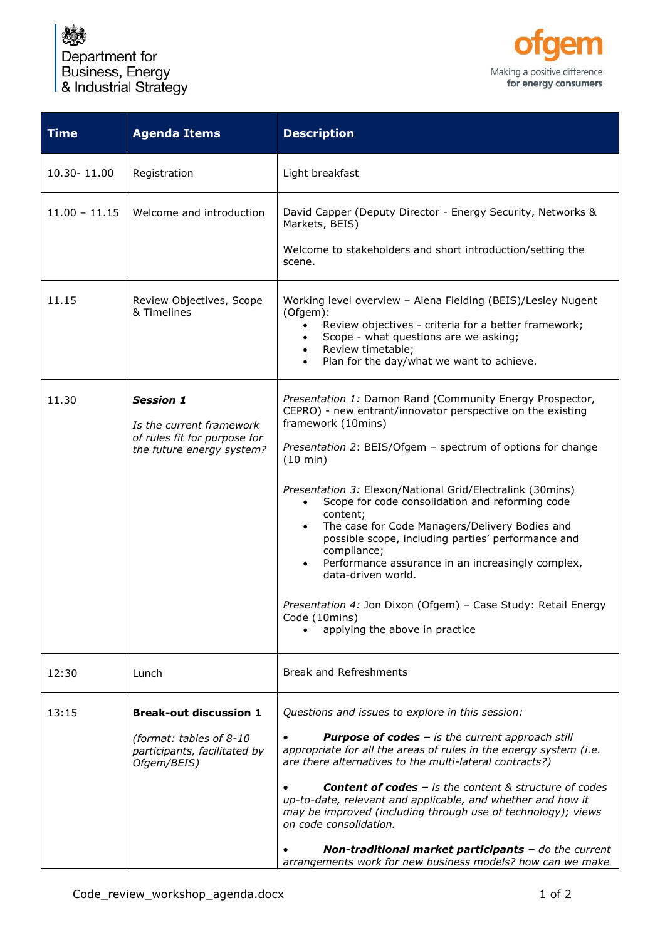₫ Department for Business, Energy & Industrial Strategy



| Registration<br>Welcome and introduction                                                                  | Light breakfast<br>David Capper (Deputy Director - Energy Security, Networks &<br>Markets, BEIS)<br>Welcome to stakeholders and short introduction/setting the<br>scene.                                                                                                                                                                                                                                                                                                                                                                                                                                                                                                               |
|-----------------------------------------------------------------------------------------------------------|----------------------------------------------------------------------------------------------------------------------------------------------------------------------------------------------------------------------------------------------------------------------------------------------------------------------------------------------------------------------------------------------------------------------------------------------------------------------------------------------------------------------------------------------------------------------------------------------------------------------------------------------------------------------------------------|
|                                                                                                           |                                                                                                                                                                                                                                                                                                                                                                                                                                                                                                                                                                                                                                                                                        |
|                                                                                                           |                                                                                                                                                                                                                                                                                                                                                                                                                                                                                                                                                                                                                                                                                        |
| Review Objectives, Scope<br>& Timelines                                                                   | Working level overview - Alena Fielding (BEIS)/Lesley Nugent<br>(Ofgem):<br>Review objectives - criteria for a better framework;<br>$\bullet$<br>Scope - what questions are we asking;<br>Review timetable;<br>$\bullet$<br>Plan for the day/what we want to achieve.<br>$\bullet$                                                                                                                                                                                                                                                                                                                                                                                                     |
| <b>Session 1</b><br>Is the current framework<br>of rules fit for purpose for<br>the future energy system? | Presentation 1: Damon Rand (Community Energy Prospector,<br>CEPRO) - new entrant/innovator perspective on the existing<br>framework (10mins)<br>Presentation 2: BEIS/Ofgem - spectrum of options for change<br>(10 min)<br>Presentation 3: Elexon/National Grid/Electralink (30mins)<br>Scope for code consolidation and reforming code<br>$\bullet$<br>content;<br>The case for Code Managers/Delivery Bodies and<br>possible scope, including parties' performance and<br>compliance;<br>Performance assurance in an increasingly complex,<br>data-driven world.<br>Presentation 4: Jon Dixon (Ofgem) - Case Study: Retail Energy<br>Code (10mins)<br>applying the above in practice |
| Lunch                                                                                                     | <b>Break and Refreshments</b>                                                                                                                                                                                                                                                                                                                                                                                                                                                                                                                                                                                                                                                          |
| <b>Break-out discussion 1</b><br>(format: tables of 8-10<br>participants, facilitated by<br>Ofgem/BEIS)   | Questions and issues to explore in this session:<br><b>Purpose of codes - is the current approach still</b><br>appropriate for all the areas of rules in the energy system (i.e.<br>are there alternatives to the multi-lateral contracts?)<br><b>Content of codes - is the content &amp; structure of codes</b><br>up-to-date, relevant and applicable, and whether and how it<br>may be improved (including through use of technology); views<br>on code consolidation.<br>Non-traditional market participants - do the current                                                                                                                                                      |
|                                                                                                           |                                                                                                                                                                                                                                                                                                                                                                                                                                                                                                                                                                                                                                                                                        |